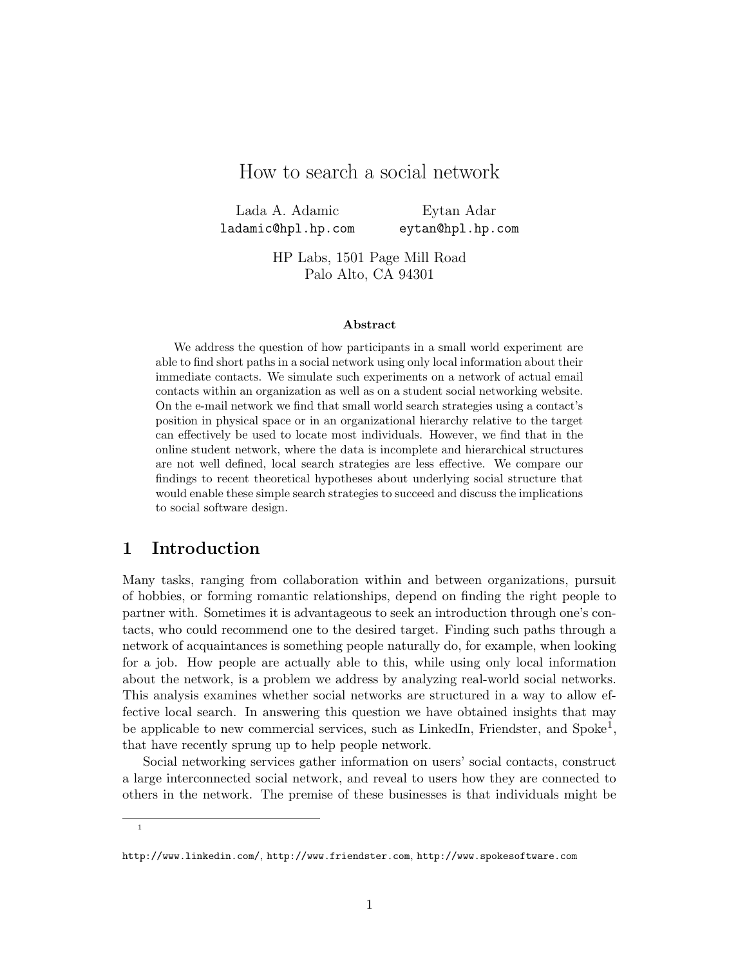# How to search a social network

Lada A. Adamic ladamic@hpl.hp.com

Eytan Adar eytan@hpl.hp.com

HP Labs, 1501 Page Mill Road Palo Alto, CA 94301

#### Abstract

We address the question of how participants in a small world experiment are able to find short paths in a social network using only local information about their immediate contacts. We simulate such experiments on a network of actual email contacts within an organization as well as on a student social networking website. On the e-mail network we find that small world search strategies using a contact's position in physical space or in an organizational hierarchy relative to the target can effectively be used to locate most individuals. However, we find that in the online student network, where the data is incomplete and hierarchical structures are not well defined, local search strategies are less effective. We compare our findings to recent theoretical hypotheses about underlying social structure that would enable these simple search strategies to succeed and discuss the implications to social software design.

## 1 Introduction

Many tasks, ranging from collaboration within and between organizations, pursuit of hobbies, or forming romantic relationships, depend on finding the right people to partner with. Sometimes it is advantageous to seek an introduction through one's contacts, who could recommend one to the desired target. Finding such paths through a network of acquaintances is something people naturally do, for example, when looking for a job. How people are actually able to this, while using only local information about the network, is a problem we address by analyzing real-world social networks. This analysis examines whether social networks are structured in a way to allow effective local search. In answering this question we have obtained insights that may be applicable to new commercial services, such as LinkedIn, Friendster, and Spoke<sup>1</sup>, that have recently sprung up to help people network.

Social networking services gather information on users' social contacts, construct a large interconnected social network, and reveal to users how they are connected to others in the network. The premise of these businesses is that individuals might be

1

http://www.linkedin.com/, http://www.friendster.com, http://www.spokesoftware.com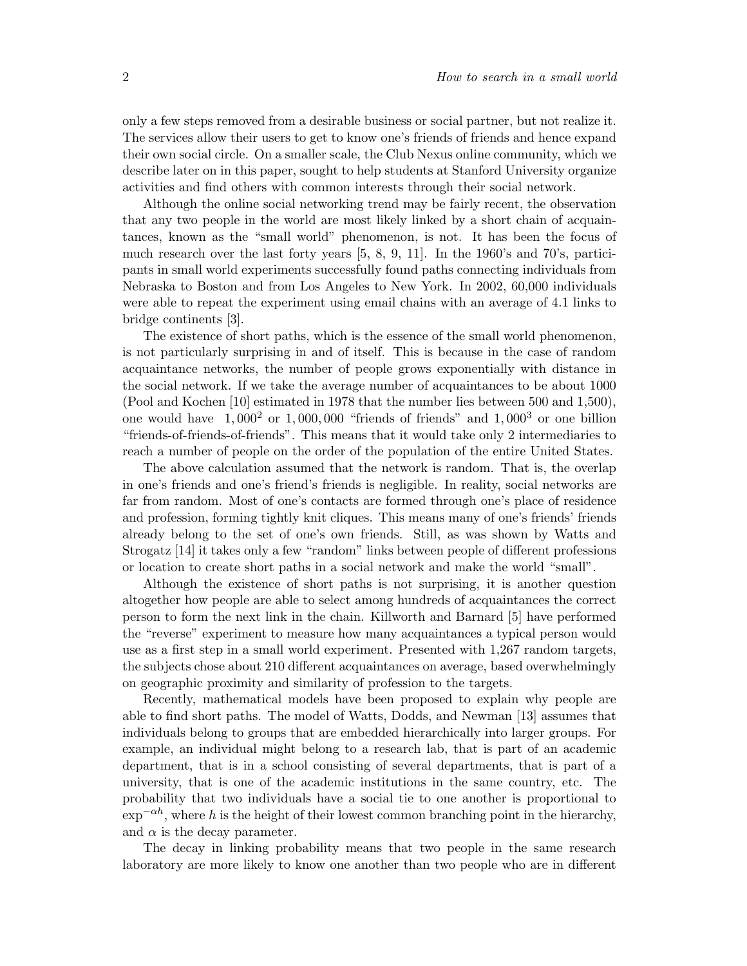only a few steps removed from a desirable business or social partner, but not realize it. The services allow their users to get to know one's friends of friends and hence expand their own social circle. On a smaller scale, the Club Nexus online community, which we describe later on in this paper, sought to help students at Stanford University organize activities and find others with common interests through their social network.

Although the online social networking trend may be fairly recent, the observation that any two people in the world are most likely linked by a short chain of acquaintances, known as the "small world" phenomenon, is not. It has been the focus of much research over the last forty years [5, 8, 9, 11]. In the 1960's and 70's, participants in small world experiments successfully found paths connecting individuals from Nebraska to Boston and from Los Angeles to New York. In 2002, 60,000 individuals were able to repeat the experiment using email chains with an average of 4.1 links to bridge continents [3].

The existence of short paths, which is the essence of the small world phenomenon, is not particularly surprising in and of itself. This is because in the case of random acquaintance networks, the number of people grows exponentially with distance in the social network. If we take the average number of acquaintances to be about 1000 (Pool and Kochen [10] estimated in 1978 that the number lies between 500 and 1,500), one would have  $1,000^2$  or  $1,000,000$  "friends of friends" and  $1,000^3$  or one billion "friends-of-friends-of-friends". This means that it would take only 2 intermediaries to reach a number of people on the order of the population of the entire United States.

The above calculation assumed that the network is random. That is, the overlap in one's friends and one's friend's friends is negligible. In reality, social networks are far from random. Most of one's contacts are formed through one's place of residence and profession, forming tightly knit cliques. This means many of one's friends' friends already belong to the set of one's own friends. Still, as was shown by Watts and Strogatz [14] it takes only a few "random" links between people of different professions or location to create short paths in a social network and make the world "small".

Although the existence of short paths is not surprising, it is another question altogether how people are able to select among hundreds of acquaintances the correct person to form the next link in the chain. Killworth and Barnard [5] have performed the "reverse" experiment to measure how many acquaintances a typical person would use as a first step in a small world experiment. Presented with 1,267 random targets, the subjects chose about 210 different acquaintances on average, based overwhelmingly on geographic proximity and similarity of profession to the targets.

Recently, mathematical models have been proposed to explain why people are able to find short paths. The model of Watts, Dodds, and Newman [13] assumes that individuals belong to groups that are embedded hierarchically into larger groups. For example, an individual might belong to a research lab, that is part of an academic department, that is in a school consisting of several departments, that is part of a university, that is one of the academic institutions in the same country, etc. The probability that two individuals have a social tie to one another is proportional to  $\exp^{-\alpha h}$ , where h is the height of their lowest common branching point in the hierarchy, and  $\alpha$  is the decay parameter.

The decay in linking probability means that two people in the same research laboratory are more likely to know one another than two people who are in different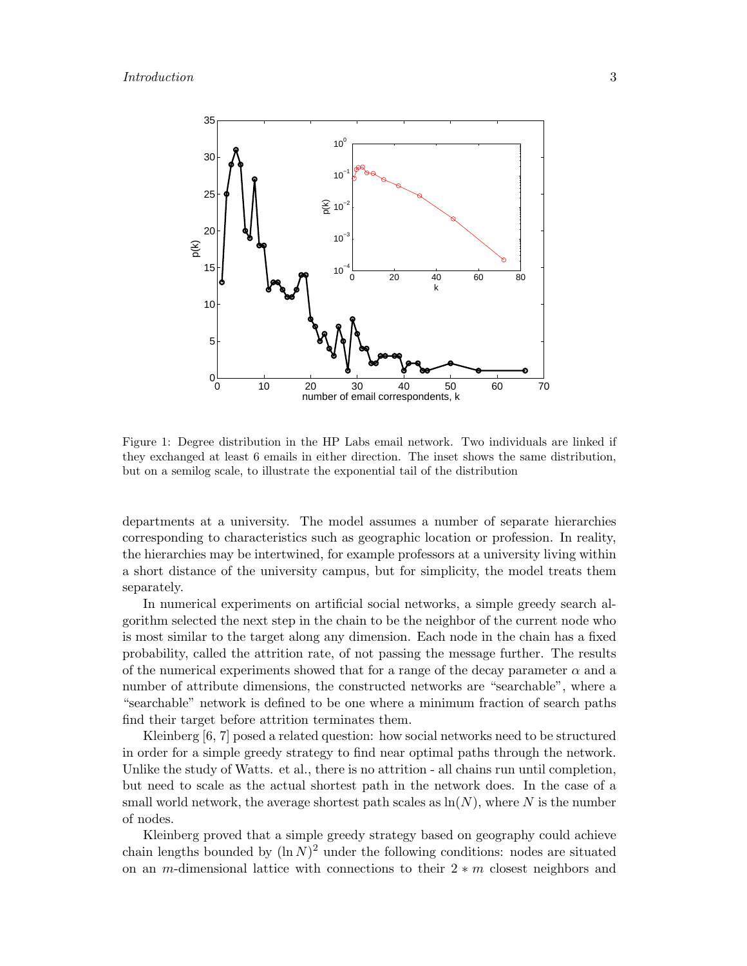

Figure 1: Degree distribution in the HP Labs email network. Two individuals are linked if they exchanged at least 6 emails in either direction. The inset shows the same distribution, but on a semilog scale, to illustrate the exponential tail of the distribution

departments at a university. The model assumes a number of separate hierarchies corresponding to characteristics such as geographic location or profession. In reality, the hierarchies may be intertwined, for example professors at a university living within a short distance of the university campus, but for simplicity, the model treats them separately.

In numerical experiments on artificial social networks, a simple greedy search algorithm selected the next step in the chain to be the neighbor of the current node who is most similar to the target along any dimension. Each node in the chain has a fixed probability, called the attrition rate, of not passing the message further. The results of the numerical experiments showed that for a range of the decay parameter  $\alpha$  and a number of attribute dimensions, the constructed networks are "searchable", where a "searchable" network is defined to be one where a minimum fraction of search paths find their target before attrition terminates them.

Kleinberg [6, 7] posed a related question: how social networks need to be structured in order for a simple greedy strategy to find near optimal paths through the network. Unlike the study of Watts. et al., there is no attrition - all chains run until completion, but need to scale as the actual shortest path in the network does. In the case of a small world network, the average shortest path scales as  $\ln(N)$ , where N is the number of nodes.

Kleinberg proved that a simple greedy strategy based on geography could achieve chain lengths bounded by  $(\ln N)^2$  under the following conditions: nodes are situated on an m-dimensional lattice with connections to their  $2 * m$  closest neighbors and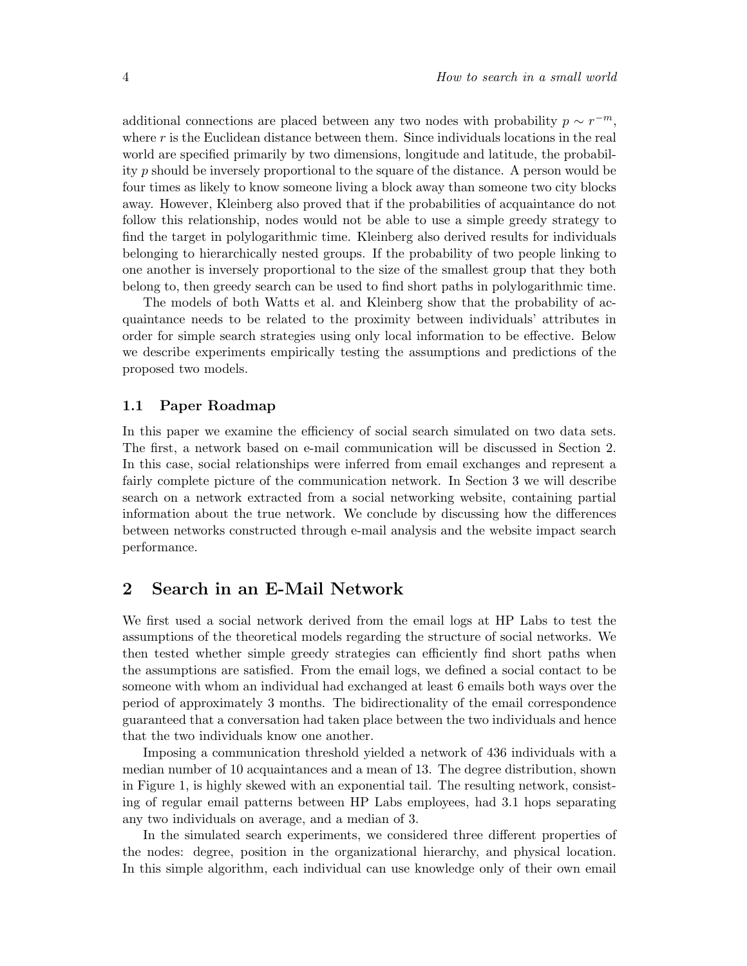additional connections are placed between any two nodes with probability  $p \sim r^{-m}$ , where  $r$  is the Euclidean distance between them. Since individuals locations in the real world are specified primarily by two dimensions, longitude and latitude, the probability p should be inversely proportional to the square of the distance. A person would be four times as likely to know someone living a block away than someone two city blocks away. However, Kleinberg also proved that if the probabilities of acquaintance do not follow this relationship, nodes would not be able to use a simple greedy strategy to find the target in polylogarithmic time. Kleinberg also derived results for individuals belonging to hierarchically nested groups. If the probability of two people linking to one another is inversely proportional to the size of the smallest group that they both belong to, then greedy search can be used to find short paths in polylogarithmic time.

The models of both Watts et al. and Kleinberg show that the probability of acquaintance needs to be related to the proximity between individuals' attributes in order for simple search strategies using only local information to be effective. Below we describe experiments empirically testing the assumptions and predictions of the proposed two models.

### 1.1 Paper Roadmap

In this paper we examine the efficiency of social search simulated on two data sets. The first, a network based on e-mail communication will be discussed in Section 2. In this case, social relationships were inferred from email exchanges and represent a fairly complete picture of the communication network. In Section 3 we will describe search on a network extracted from a social networking website, containing partial information about the true network. We conclude by discussing how the differences between networks constructed through e-mail analysis and the website impact search performance.

### 2 Search in an E-Mail Network

We first used a social network derived from the email logs at HP Labs to test the assumptions of the theoretical models regarding the structure of social networks. We then tested whether simple greedy strategies can efficiently find short paths when the assumptions are satisfied. From the email logs, we defined a social contact to be someone with whom an individual had exchanged at least 6 emails both ways over the period of approximately 3 months. The bidirectionality of the email correspondence guaranteed that a conversation had taken place between the two individuals and hence that the two individuals know one another.

Imposing a communication threshold yielded a network of 436 individuals with a median number of 10 acquaintances and a mean of 13. The degree distribution, shown in Figure 1, is highly skewed with an exponential tail. The resulting network, consisting of regular email patterns between HP Labs employees, had 3.1 hops separating any two individuals on average, and a median of 3.

In the simulated search experiments, we considered three different properties of the nodes: degree, position in the organizational hierarchy, and physical location. In this simple algorithm, each individual can use knowledge only of their own email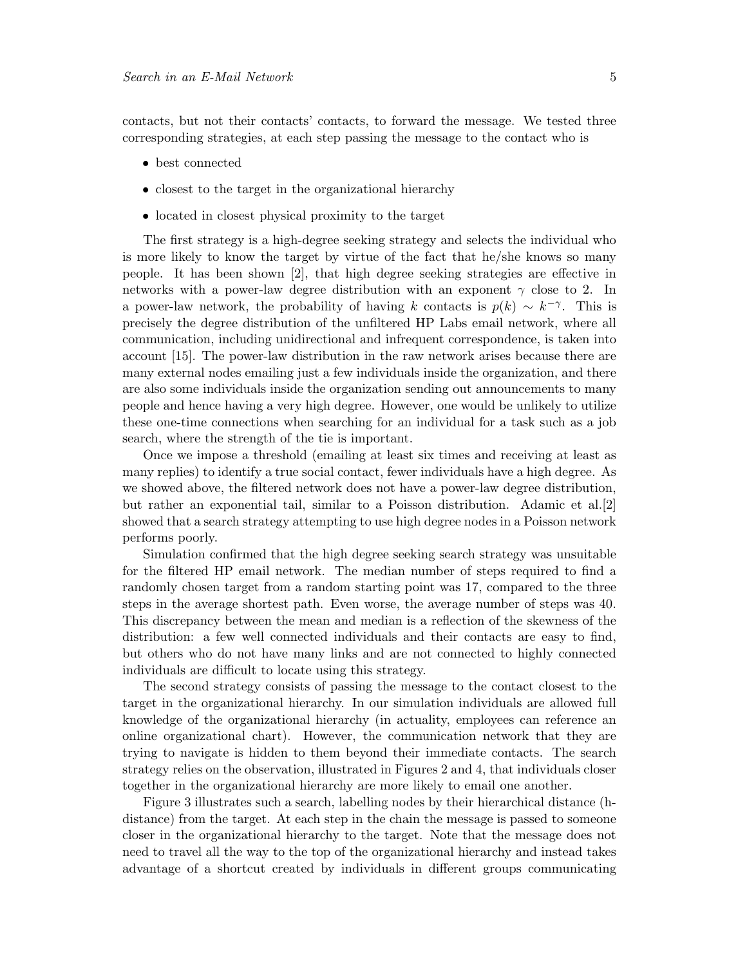contacts, but not their contacts' contacts, to forward the message. We tested three corresponding strategies, at each step passing the message to the contact who is

- best connected
- closest to the target in the organizational hierarchy
- located in closest physical proximity to the target

The first strategy is a high-degree seeking strategy and selects the individual who is more likely to know the target by virtue of the fact that he/she knows so many people. It has been shown [2], that high degree seeking strategies are effective in networks with a power-law degree distribution with an exponent  $\gamma$  close to 2. In a power-law network, the probability of having k contacts is  $p(k) \sim k^{-\gamma}$ . This is precisely the degree distribution of the unfiltered HP Labs email network, where all communication, including unidirectional and infrequent correspondence, is taken into account [15]. The power-law distribution in the raw network arises because there are many external nodes emailing just a few individuals inside the organization, and there are also some individuals inside the organization sending out announcements to many people and hence having a very high degree. However, one would be unlikely to utilize these one-time connections when searching for an individual for a task such as a job search, where the strength of the tie is important.

Once we impose a threshold (emailing at least six times and receiving at least as many replies) to identify a true social contact, fewer individuals have a high degree. As we showed above, the filtered network does not have a power-law degree distribution, but rather an exponential tail, similar to a Poisson distribution. Adamic et al.[2] showed that a search strategy attempting to use high degree nodes in a Poisson network performs poorly.

Simulation confirmed that the high degree seeking search strategy was unsuitable for the filtered HP email network. The median number of steps required to find a randomly chosen target from a random starting point was 17, compared to the three steps in the average shortest path. Even worse, the average number of steps was 40. This discrepancy between the mean and median is a reflection of the skewness of the distribution: a few well connected individuals and their contacts are easy to find, but others who do not have many links and are not connected to highly connected individuals are difficult to locate using this strategy.

The second strategy consists of passing the message to the contact closest to the target in the organizational hierarchy. In our simulation individuals are allowed full knowledge of the organizational hierarchy (in actuality, employees can reference an online organizational chart). However, the communication network that they are trying to navigate is hidden to them beyond their immediate contacts. The search strategy relies on the observation, illustrated in Figures 2 and 4, that individuals closer together in the organizational hierarchy are more likely to email one another.

Figure 3 illustrates such a search, labelling nodes by their hierarchical distance (hdistance) from the target. At each step in the chain the message is passed to someone closer in the organizational hierarchy to the target. Note that the message does not need to travel all the way to the top of the organizational hierarchy and instead takes advantage of a shortcut created by individuals in different groups communicating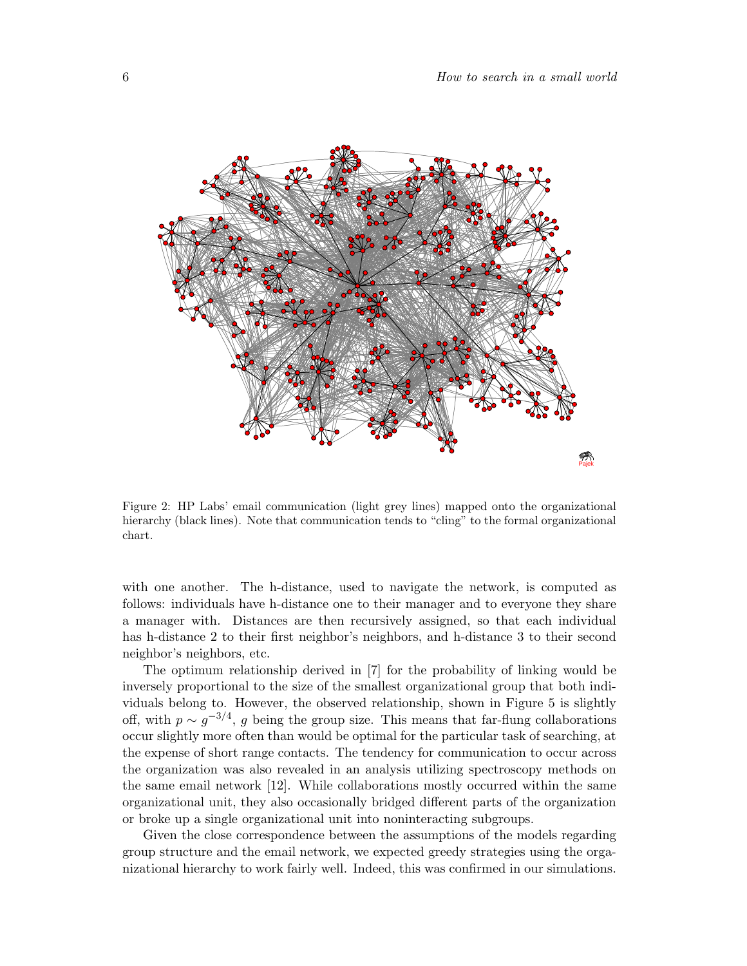

Figure 2: HP Labs' email communication (light grey lines) mapped onto the organizational hierarchy (black lines). Note that communication tends to "cling" to the formal organizational chart.

with one another. The h-distance, used to navigate the network, is computed as follows: individuals have h-distance one to their manager and to everyone they share a manager with. Distances are then recursively assigned, so that each individual has h-distance 2 to their first neighbor's neighbors, and h-distance 3 to their second neighbor's neighbors, etc.

The optimum relationship derived in [7] for the probability of linking would be inversely proportional to the size of the smallest organizational group that both individuals belong to. However, the observed relationship, shown in Figure 5 is slightly off, with  $p \sim g^{-3/4}$ , g being the group size. This means that far-flung collaborations occur slightly more often than would be optimal for the particular task of searching, at the expense of short range contacts. The tendency for communication to occur across the organization was also revealed in an analysis utilizing spectroscopy methods on the same email network [12]. While collaborations mostly occurred within the same organizational unit, they also occasionally bridged different parts of the organization or broke up a single organizational unit into noninteracting subgroups.

Given the close correspondence between the assumptions of the models regarding group structure and the email network, we expected greedy strategies using the organizational hierarchy to work fairly well. Indeed, this was confirmed in our simulations.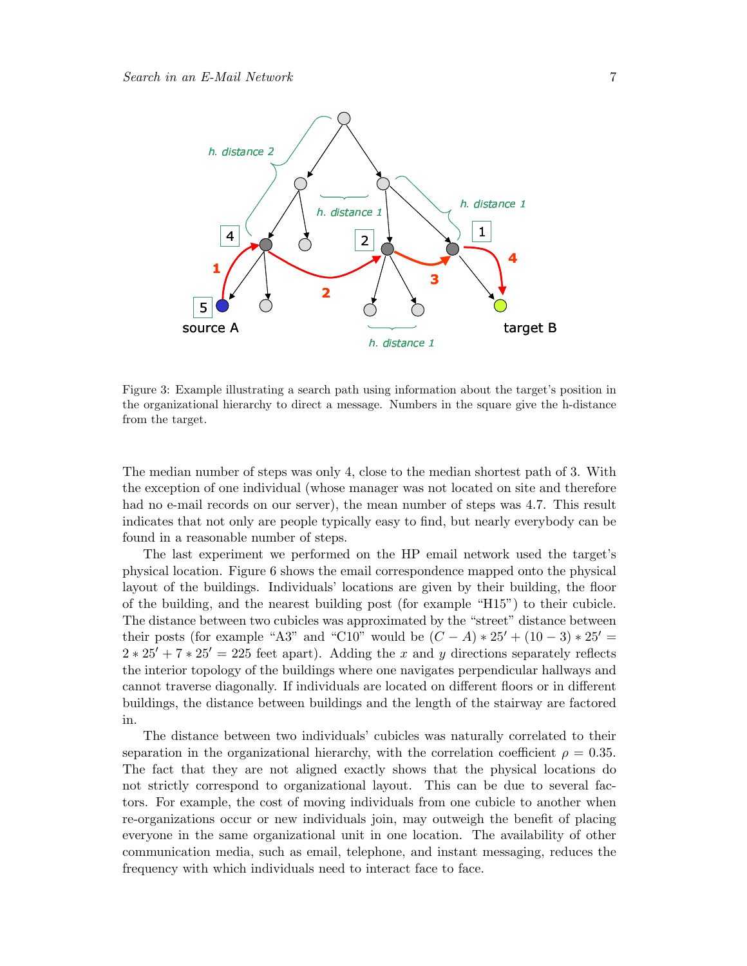

Figure 3: Example illustrating a search path using information about the target's position in the organizational hierarchy to direct a message. Numbers in the square give the h-distance from the target.

The median number of steps was only 4, close to the median shortest path of 3. With the exception of one individual (whose manager was not located on site and therefore had no e-mail records on our server), the mean number of steps was 4.7. This result indicates that not only are people typically easy to find, but nearly everybody can be found in a reasonable number of steps.

The last experiment we performed on the HP email network used the target's physical location. Figure 6 shows the email correspondence mapped onto the physical layout of the buildings. Individuals' locations are given by their building, the floor of the building, and the nearest building post (for example "H15") to their cubicle. The distance between two cubicles was approximated by the "street" distance between their posts (for example "A3" and "C10" would be  $(C - A) * 25' + (10 - 3) * 25' =$  $2 * 25' + 7 * 25' = 225$  feet apart). Adding the x and y directions separately reflects the interior topology of the buildings where one navigates perpendicular hallways and cannot traverse diagonally. If individuals are located on different floors or in different buildings, the distance between buildings and the length of the stairway are factored in.

The distance between two individuals' cubicles was naturally correlated to their separation in the organizational hierarchy, with the correlation coefficient  $\rho = 0.35$ . The fact that they are not aligned exactly shows that the physical locations do not strictly correspond to organizational layout. This can be due to several factors. For example, the cost of moving individuals from one cubicle to another when re-organizations occur or new individuals join, may outweigh the benefit of placing everyone in the same organizational unit in one location. The availability of other communication media, such as email, telephone, and instant messaging, reduces the frequency with which individuals need to interact face to face.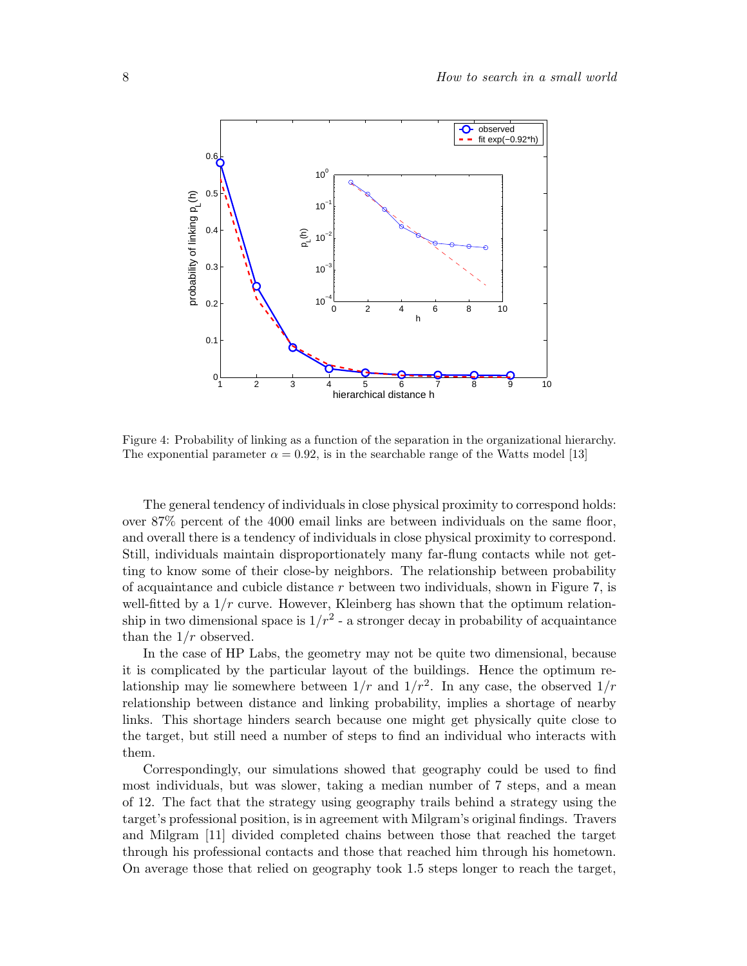

Figure 4: Probability of linking as a function of the separation in the organizational hierarchy. The exponential parameter  $\alpha = 0.92$ , is in the searchable range of the Watts model [13]

The general tendency of individuals in close physical proximity to correspond holds: over 87% percent of the 4000 email links are between individuals on the same floor, and overall there is a tendency of individuals in close physical proximity to correspond. Still, individuals maintain disproportionately many far-flung contacts while not getting to know some of their close-by neighbors. The relationship between probability of acquaintance and cubicle distance  $r$  between two individuals, shown in Figure 7, is well-fitted by a  $1/r$  curve. However, Kleinberg has shown that the optimum relationship in two dimensional space is  $1/r^2$  - a stronger decay in probability of acquaintance than the  $1/r$  observed.

In the case of HP Labs, the geometry may not be quite two dimensional, because it is complicated by the particular layout of the buildings. Hence the optimum relationship may lie somewhere between  $1/r$  and  $1/r^2$ . In any case, the observed  $1/r$ relationship between distance and linking probability, implies a shortage of nearby links. This shortage hinders search because one might get physically quite close to the target, but still need a number of steps to find an individual who interacts with them.

Correspondingly, our simulations showed that geography could be used to find most individuals, but was slower, taking a median number of 7 steps, and a mean of 12. The fact that the strategy using geography trails behind a strategy using the target's professional position, is in agreement with Milgram's original findings. Travers and Milgram [11] divided completed chains between those that reached the target through his professional contacts and those that reached him through his hometown. On average those that relied on geography took 1.5 steps longer to reach the target,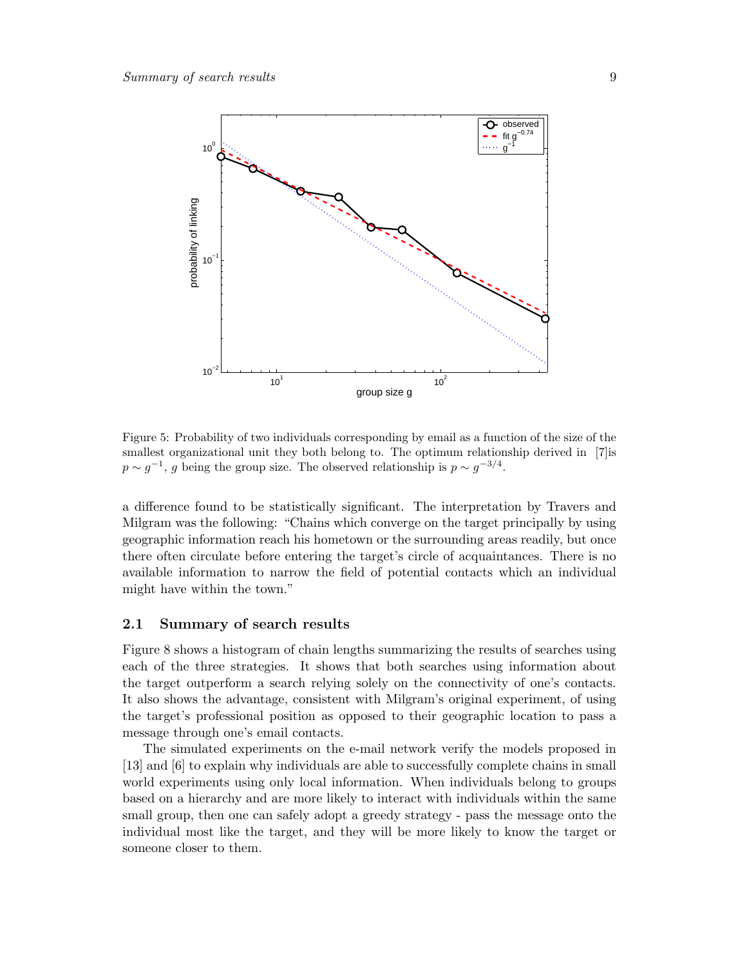

Figure 5: Probability of two individuals corresponding by email as a function of the size of the smallest organizational unit they both belong to. The optimum relationship derived in [7] is  $p \sim g^{-1}$ , g being the group size. The observed relationship is  $p \sim g^{-3/4}$ .

a difference found to be statistically significant. The interpretation by Travers and Milgram was the following: "Chains which converge on the target principally by using geographic information reach his hometown or the surrounding areas readily, but once there often circulate before entering the target's circle of acquaintances. There is no available information to narrow the field of potential contacts which an individual might have within the town."

#### 2.1 Summary of search results

Figure 8 shows a histogram of chain lengths summarizing the results of searches using each of the three strategies. It shows that both searches using information about the target outperform a search relying solely on the connectivity of one's contacts. It also shows the advantage, consistent with Milgram's original experiment, of using the target's professional position as opposed to their geographic location to pass a message through one's email contacts.

The simulated experiments on the e-mail network verify the models proposed in [13] and [6] to explain why individuals are able to successfully complete chains in small world experiments using only local information. When individuals belong to groups based on a hierarchy and are more likely to interact with individuals within the same small group, then one can safely adopt a greedy strategy - pass the message onto the individual most like the target, and they will be more likely to know the target or someone closer to them.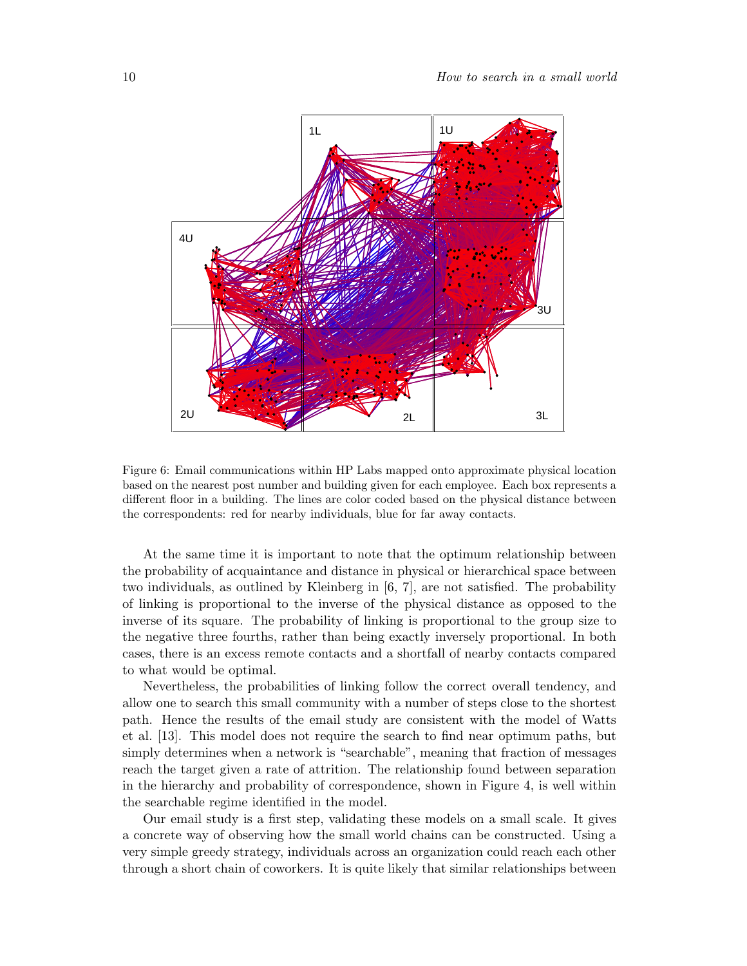

Figure 6: Email communications within HP Labs mapped onto approximate physical location based on the nearest post number and building given for each employee. Each box represents a different floor in a building. The lines are color coded based on the physical distance between the correspondents: red for nearby individuals, blue for far away contacts.

At the same time it is important to note that the optimum relationship between the probability of acquaintance and distance in physical or hierarchical space between two individuals, as outlined by Kleinberg in [6, 7], are not satisfied. The probability of linking is proportional to the inverse of the physical distance as opposed to the inverse of its square. The probability of linking is proportional to the group size to the negative three fourths, rather than being exactly inversely proportional. In both cases, there is an excess remote contacts and a shortfall of nearby contacts compared to what would be optimal.

Nevertheless, the probabilities of linking follow the correct overall tendency, and allow one to search this small community with a number of steps close to the shortest path. Hence the results of the email study are consistent with the model of Watts et al. [13]. This model does not require the search to find near optimum paths, but simply determines when a network is "searchable", meaning that fraction of messages reach the target given a rate of attrition. The relationship found between separation in the hierarchy and probability of correspondence, shown in Figure 4, is well within the searchable regime identified in the model.

Our email study is a first step, validating these models on a small scale. It gives a concrete way of observing how the small world chains can be constructed. Using a very simple greedy strategy, individuals across an organization could reach each other through a short chain of coworkers. It is quite likely that similar relationships between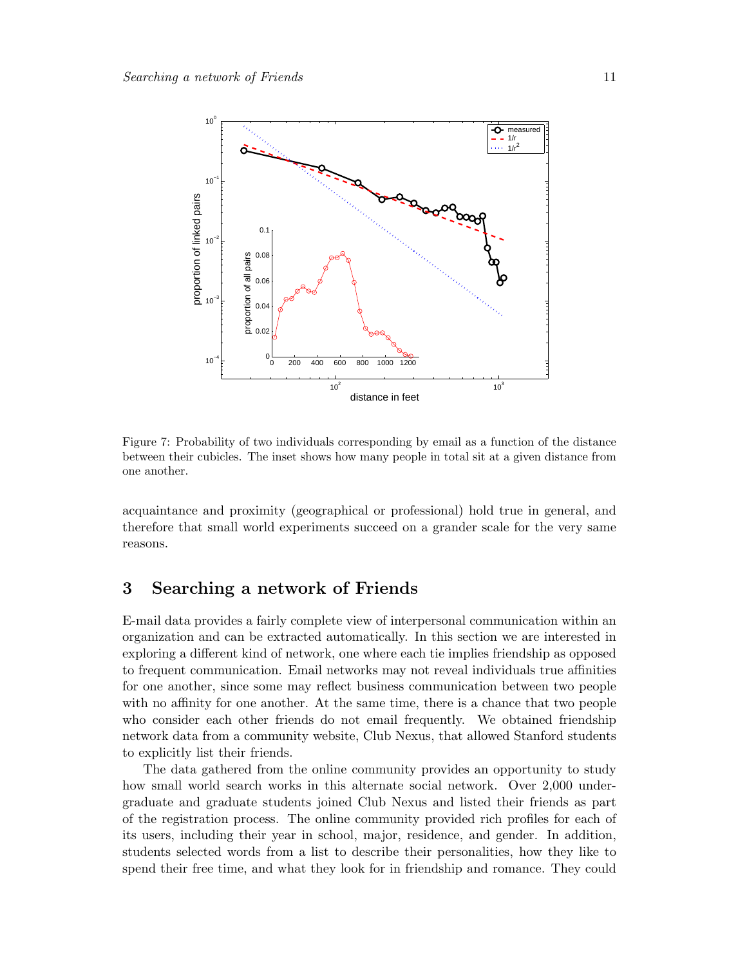

Figure 7: Probability of two individuals corresponding by email as a function of the distance between their cubicles. The inset shows how many people in total sit at a given distance from one another.

acquaintance and proximity (geographical or professional) hold true in general, and therefore that small world experiments succeed on a grander scale for the very same reasons.

### 3 Searching a network of Friends

E-mail data provides a fairly complete view of interpersonal communication within an organization and can be extracted automatically. In this section we are interested in exploring a different kind of network, one where each tie implies friendship as opposed to frequent communication. Email networks may not reveal individuals true affinities for one another, since some may reflect business communication between two people with no affinity for one another. At the same time, there is a chance that two people who consider each other friends do not email frequently. We obtained friendship network data from a community website, Club Nexus, that allowed Stanford students to explicitly list their friends.

The data gathered from the online community provides an opportunity to study how small world search works in this alternate social network. Over 2,000 undergraduate and graduate students joined Club Nexus and listed their friends as part of the registration process. The online community provided rich profiles for each of its users, including their year in school, major, residence, and gender. In addition, students selected words from a list to describe their personalities, how they like to spend their free time, and what they look for in friendship and romance. They could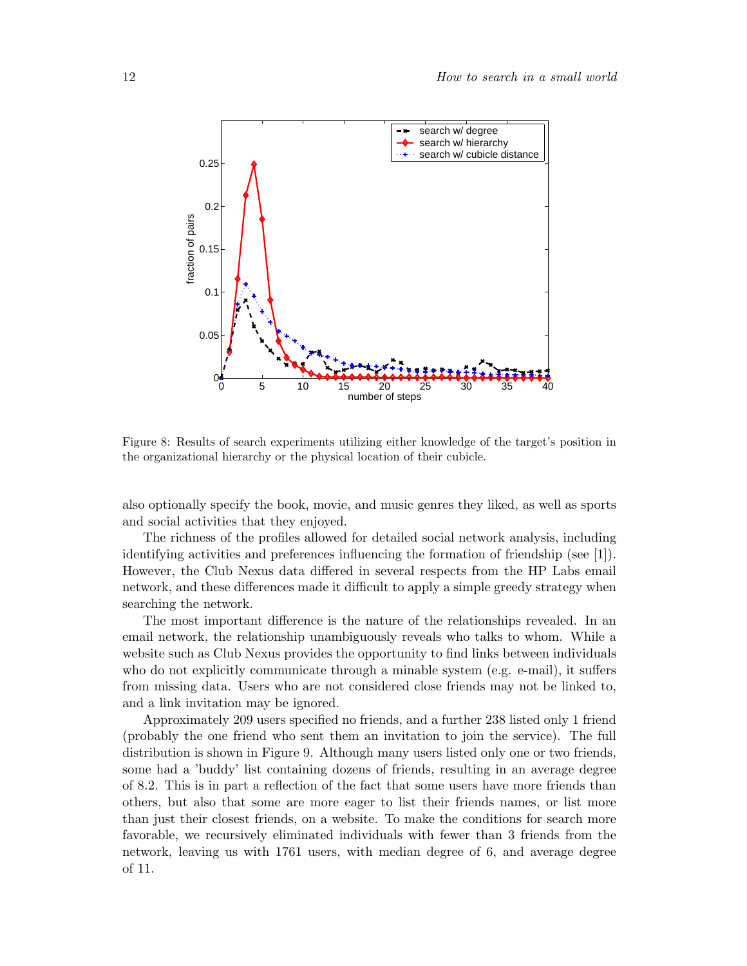

Figure 8: Results of search experiments utilizing either knowledge of the target's position in the organizational hierarchy or the physical location of their cubicle.

also optionally specify the book, movie, and music genres they liked, as well as sports and social activities that they enjoyed.

The richness of the profiles allowed for detailed social network analysis, including identifying activities and preferences influencing the formation of friendship (see [1]). However, the Club Nexus data differed in several respects from the HP Labs email network, and these differences made it difficult to apply a simple greedy strategy when searching the network.

The most important difference is the nature of the relationships revealed. In an email network, the relationship unambiguously reveals who talks to whom. While a website such as Club Nexus provides the opportunity to find links between individuals who do not explicitly communicate through a minable system (e.g. e-mail), it suffers from missing data. Users who are not considered close friends may not be linked to, and a link invitation may be ignored.

Approximately 209 users specified no friends, and a further 238 listed only 1 friend (probably the one friend who sent them an invitation to join the service). The full distribution is shown in Figure 9. Although many users listed only one or two friends, some had a 'buddy' list containing dozens of friends, resulting in an average degree of 8.2. This is in part a reflection of the fact that some users have more friends than others, but also that some are more eager to list their friends names, or list more than just their closest friends, on a website. To make the conditions for search more favorable, we recursively eliminated individuals with fewer than 3 friends from the network, leaving us with 1761 users, with median degree of 6, and average degree of 11.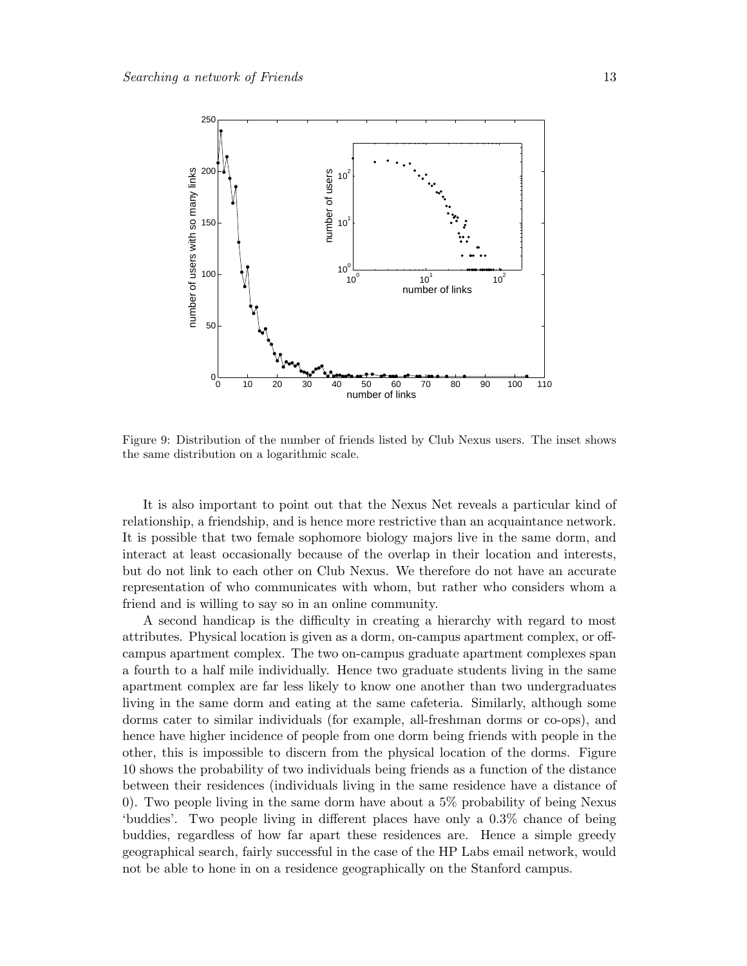

Figure 9: Distribution of the number of friends listed by Club Nexus users. The inset shows the same distribution on a logarithmic scale.

It is also important to point out that the Nexus Net reveals a particular kind of relationship, a friendship, and is hence more restrictive than an acquaintance network. It is possible that two female sophomore biology majors live in the same dorm, and interact at least occasionally because of the overlap in their location and interests, but do not link to each other on Club Nexus. We therefore do not have an accurate representation of who communicates with whom, but rather who considers whom a friend and is willing to say so in an online community.

A second handicap is the difficulty in creating a hierarchy with regard to most attributes. Physical location is given as a dorm, on-campus apartment complex, or offcampus apartment complex. The two on-campus graduate apartment complexes span a fourth to a half mile individually. Hence two graduate students living in the same apartment complex are far less likely to know one another than two undergraduates living in the same dorm and eating at the same cafeteria. Similarly, although some dorms cater to similar individuals (for example, all-freshman dorms or co-ops), and hence have higher incidence of people from one dorm being friends with people in the other, this is impossible to discern from the physical location of the dorms. Figure 10 shows the probability of two individuals being friends as a function of the distance between their residences (individuals living in the same residence have a distance of 0). Two people living in the same dorm have about a 5% probability of being Nexus 'buddies'. Two people living in different places have only a 0.3% chance of being buddies, regardless of how far apart these residences are. Hence a simple greedy geographical search, fairly successful in the case of the HP Labs email network, would not be able to hone in on a residence geographically on the Stanford campus.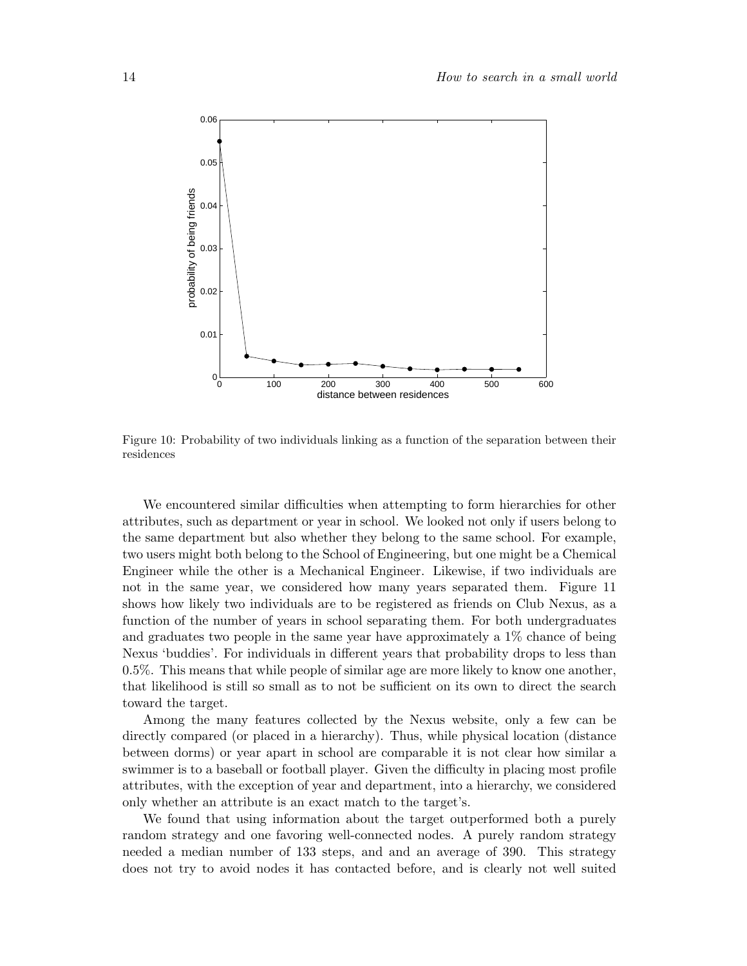

Figure 10: Probability of two individuals linking as a function of the separation between their residences

We encountered similar difficulties when attempting to form hierarchies for other attributes, such as department or year in school. We looked not only if users belong to the same department but also whether they belong to the same school. For example, two users might both belong to the School of Engineering, but one might be a Chemical Engineer while the other is a Mechanical Engineer. Likewise, if two individuals are not in the same year, we considered how many years separated them. Figure 11 shows how likely two individuals are to be registered as friends on Club Nexus, as a function of the number of years in school separating them. For both undergraduates and graduates two people in the same year have approximately a 1% chance of being Nexus 'buddies'. For individuals in different years that probability drops to less than 0.5%. This means that while people of similar age are more likely to know one another, that likelihood is still so small as to not be sufficient on its own to direct the search toward the target.

Among the many features collected by the Nexus website, only a few can be directly compared (or placed in a hierarchy). Thus, while physical location (distance between dorms) or year apart in school are comparable it is not clear how similar a swimmer is to a baseball or football player. Given the difficulty in placing most profile attributes, with the exception of year and department, into a hierarchy, we considered only whether an attribute is an exact match to the target's.

We found that using information about the target outperformed both a purely random strategy and one favoring well-connected nodes. A purely random strategy needed a median number of 133 steps, and and an average of 390. This strategy does not try to avoid nodes it has contacted before, and is clearly not well suited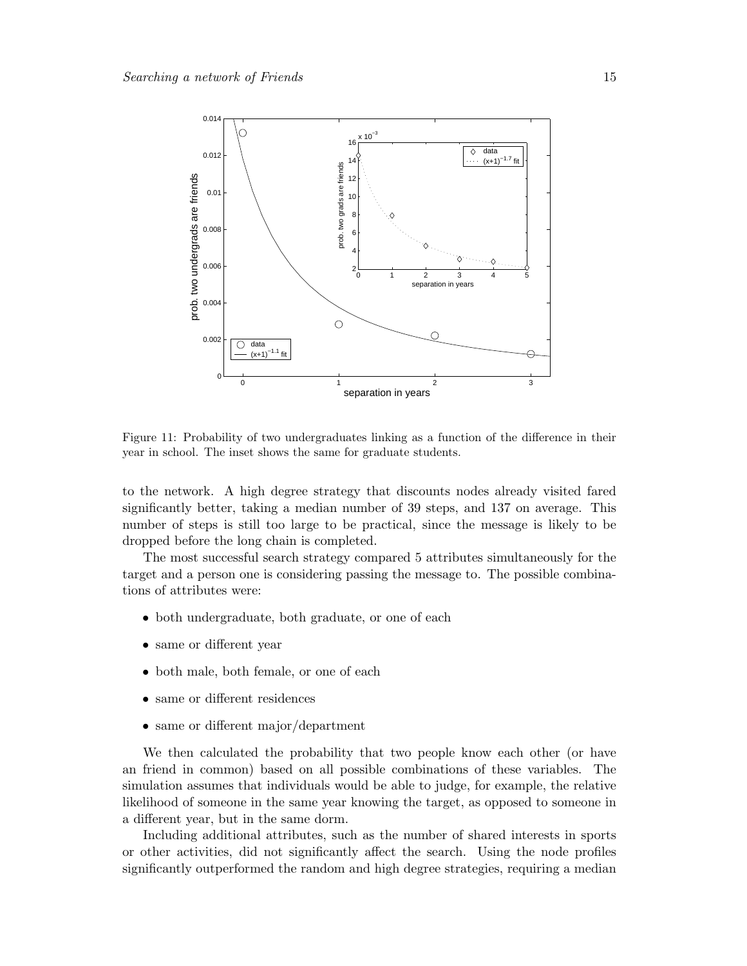

Figure 11: Probability of two undergraduates linking as a function of the difference in their year in school. The inset shows the same for graduate students.

to the network. A high degree strategy that discounts nodes already visited fared significantly better, taking a median number of 39 steps, and 137 on average. This number of steps is still too large to be practical, since the message is likely to be dropped before the long chain is completed.

The most successful search strategy compared 5 attributes simultaneously for the target and a person one is considering passing the message to. The possible combinations of attributes were:

- both undergraduate, both graduate, or one of each
- same or different year
- both male, both female, or one of each
- same or different residences
- same or different major/department

We then calculated the probability that two people know each other (or have an friend in common) based on all possible combinations of these variables. The simulation assumes that individuals would be able to judge, for example, the relative likelihood of someone in the same year knowing the target, as opposed to someone in a different year, but in the same dorm.

Including additional attributes, such as the number of shared interests in sports or other activities, did not significantly affect the search. Using the node profiles significantly outperformed the random and high degree strategies, requiring a median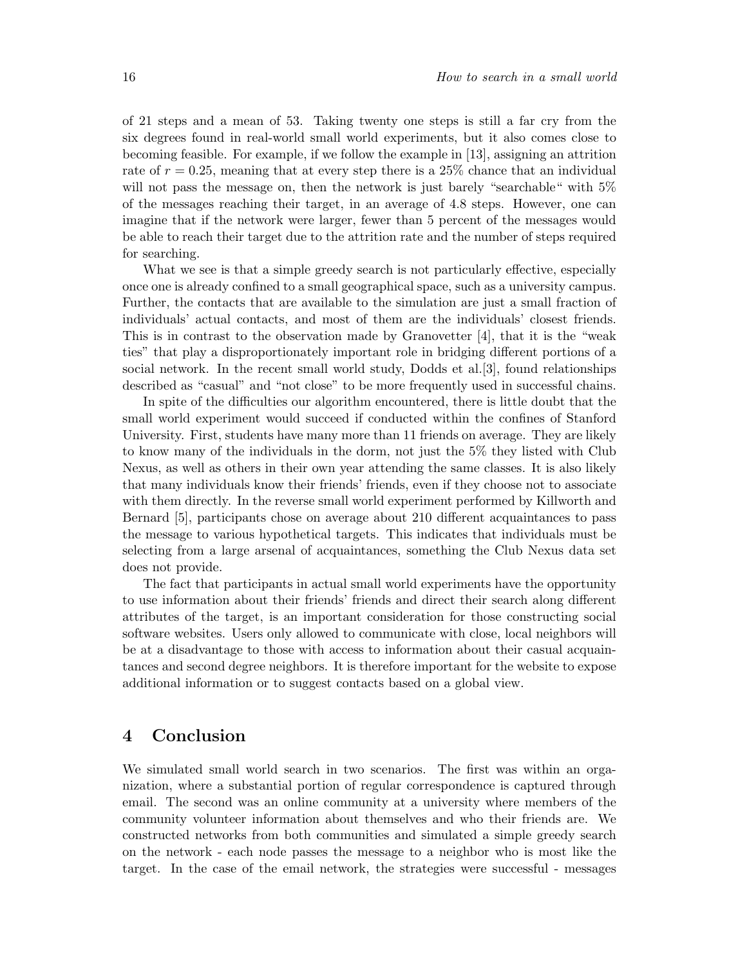of 21 steps and a mean of 53. Taking twenty one steps is still a far cry from the six degrees found in real-world small world experiments, but it also comes close to becoming feasible. For example, if we follow the example in [13], assigning an attrition rate of  $r = 0.25$ , meaning that at every step there is a 25% chance that an individual will not pass the message on, then the network is just barely "searchable" with  $5\%$ of the messages reaching their target, in an average of 4.8 steps. However, one can imagine that if the network were larger, fewer than 5 percent of the messages would be able to reach their target due to the attrition rate and the number of steps required for searching.

What we see is that a simple greedy search is not particularly effective, especially once one is already confined to a small geographical space, such as a university campus. Further, the contacts that are available to the simulation are just a small fraction of individuals' actual contacts, and most of them are the individuals' closest friends. This is in contrast to the observation made by Granovetter [4], that it is the "weak ties" that play a disproportionately important role in bridging different portions of a social network. In the recent small world study, Dodds et al.[3], found relationships described as "casual" and "not close" to be more frequently used in successful chains.

In spite of the difficulties our algorithm encountered, there is little doubt that the small world experiment would succeed if conducted within the confines of Stanford University. First, students have many more than 11 friends on average. They are likely to know many of the individuals in the dorm, not just the 5% they listed with Club Nexus, as well as others in their own year attending the same classes. It is also likely that many individuals know their friends' friends, even if they choose not to associate with them directly. In the reverse small world experiment performed by Killworth and Bernard [5], participants chose on average about 210 different acquaintances to pass the message to various hypothetical targets. This indicates that individuals must be selecting from a large arsenal of acquaintances, something the Club Nexus data set does not provide.

The fact that participants in actual small world experiments have the opportunity to use information about their friends' friends and direct their search along different attributes of the target, is an important consideration for those constructing social software websites. Users only allowed to communicate with close, local neighbors will be at a disadvantage to those with access to information about their casual acquaintances and second degree neighbors. It is therefore important for the website to expose additional information or to suggest contacts based on a global view.

### 4 Conclusion

We simulated small world search in two scenarios. The first was within an organization, where a substantial portion of regular correspondence is captured through email. The second was an online community at a university where members of the community volunteer information about themselves and who their friends are. We constructed networks from both communities and simulated a simple greedy search on the network - each node passes the message to a neighbor who is most like the target. In the case of the email network, the strategies were successful - messages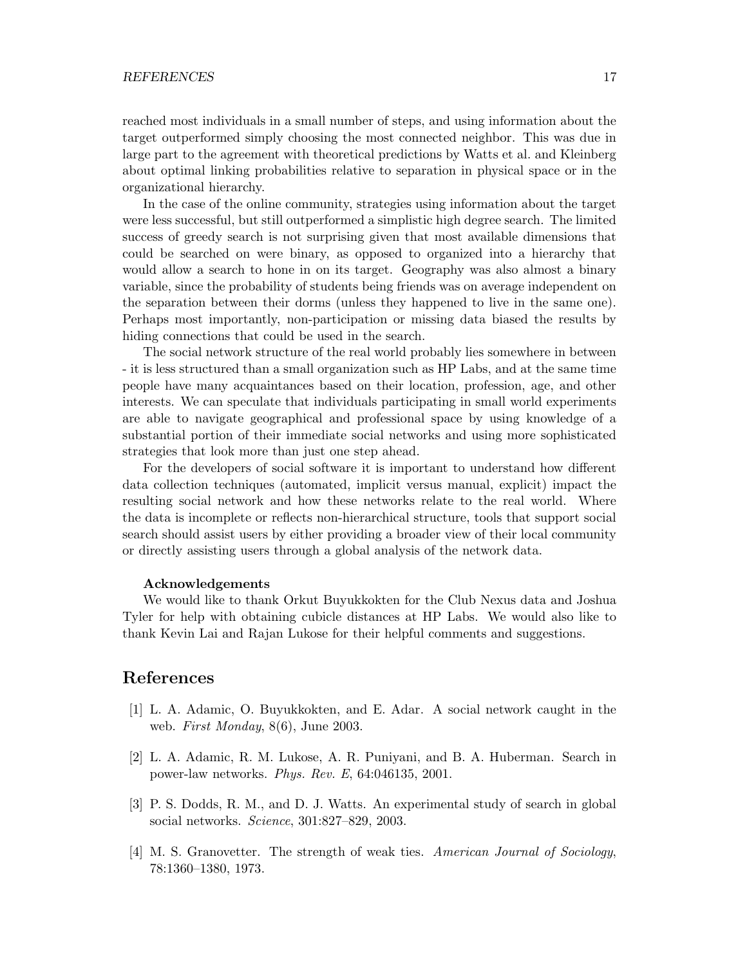reached most individuals in a small number of steps, and using information about the target outperformed simply choosing the most connected neighbor. This was due in large part to the agreement with theoretical predictions by Watts et al. and Kleinberg about optimal linking probabilities relative to separation in physical space or in the organizational hierarchy.

In the case of the online community, strategies using information about the target were less successful, but still outperformed a simplistic high degree search. The limited success of greedy search is not surprising given that most available dimensions that could be searched on were binary, as opposed to organized into a hierarchy that would allow a search to hone in on its target. Geography was also almost a binary variable, since the probability of students being friends was on average independent on the separation between their dorms (unless they happened to live in the same one). Perhaps most importantly, non-participation or missing data biased the results by hiding connections that could be used in the search.

The social network structure of the real world probably lies somewhere in between - it is less structured than a small organization such as HP Labs, and at the same time people have many acquaintances based on their location, profession, age, and other interests. We can speculate that individuals participating in small world experiments are able to navigate geographical and professional space by using knowledge of a substantial portion of their immediate social networks and using more sophisticated strategies that look more than just one step ahead.

For the developers of social software it is important to understand how different data collection techniques (automated, implicit versus manual, explicit) impact the resulting social network and how these networks relate to the real world. Where the data is incomplete or reflects non-hierarchical structure, tools that support social search should assist users by either providing a broader view of their local community or directly assisting users through a global analysis of the network data.

### Acknowledgements

We would like to thank Orkut Buyukkokten for the Club Nexus data and Joshua Tyler for help with obtaining cubicle distances at HP Labs. We would also like to thank Kevin Lai and Rajan Lukose for their helpful comments and suggestions.

### References

- [1] L. A. Adamic, O. Buyukkokten, and E. Adar. A social network caught in the web. First Monday, 8(6), June 2003.
- [2] L. A. Adamic, R. M. Lukose, A. R. Puniyani, and B. A. Huberman. Search in power-law networks. Phys. Rev. E, 64:046135, 2001.
- [3] P. S. Dodds, R. M., and D. J. Watts. An experimental study of search in global social networks. Science, 301:827–829, 2003.
- [4] M. S. Granovetter. The strength of weak ties. American Journal of Sociology, 78:1360–1380, 1973.